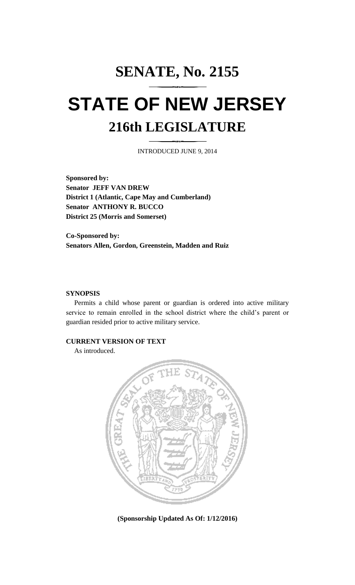## **SENATE, No. 2155 STATE OF NEW JERSEY 216th LEGISLATURE**

INTRODUCED JUNE 9, 2014

**Sponsored by: Senator JEFF VAN DREW District 1 (Atlantic, Cape May and Cumberland) Senator ANTHONY R. BUCCO District 25 (Morris and Somerset)**

**Co-Sponsored by: Senators Allen, Gordon, Greenstein, Madden and Ruiz**

## **SYNOPSIS**

Permits a child whose parent or guardian is ordered into active military service to remain enrolled in the school district where the child's parent or guardian resided prior to active military service.

## **CURRENT VERSION OF TEXT**

As introduced.



**(Sponsorship Updated As Of: 1/12/2016)**